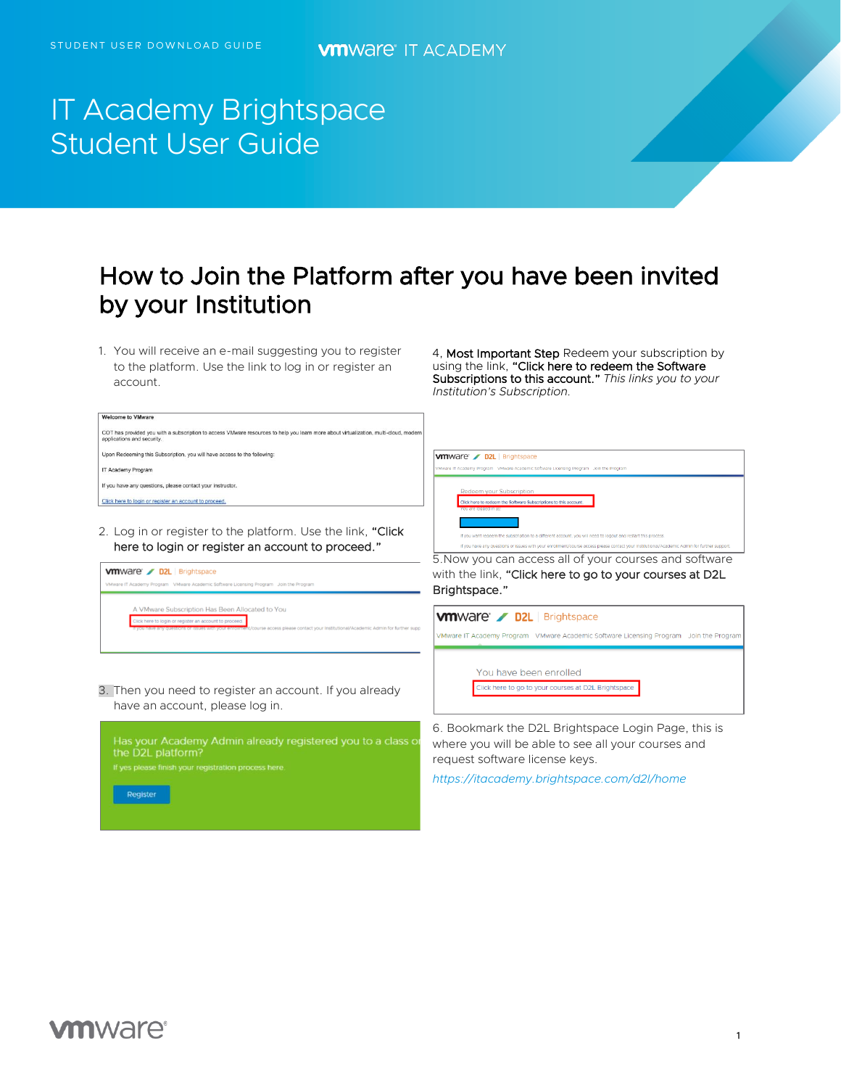e to VMware

# IT Academy Brightspace Student User Guide

## How to Join the Platform after you have been invited by your Institution

1. You will receive an e-mail suggesting you to register to the platform. Use the link to log in or register an account.

4, Most Important Step Redeem your subscription by using the link, "Click here to redeem the Software Subscriptions to this account." *This links you to your Institution's Subscription.*

| COT has provided you with a subscription to access VMware resources to help you learn more about virtualization, multi-cloud, modern<br>applications and security.                                                                             |                                                                                                                                                                                                                                                                                                                                                                                                     |
|------------------------------------------------------------------------------------------------------------------------------------------------------------------------------------------------------------------------------------------------|-----------------------------------------------------------------------------------------------------------------------------------------------------------------------------------------------------------------------------------------------------------------------------------------------------------------------------------------------------------------------------------------------------|
| Upon Redeeming this Subscription, you will have access to the following:                                                                                                                                                                       | <b>vm</b> ware / D2L Brightspace                                                                                                                                                                                                                                                                                                                                                                    |
| IT Academy Program                                                                                                                                                                                                                             | VMware IT Academy Program VMware Academic Software Licensing Program Join the Program                                                                                                                                                                                                                                                                                                               |
| If you have any questions, please contact your instructor.                                                                                                                                                                                     | Redeem your Subscription                                                                                                                                                                                                                                                                                                                                                                            |
| Click here to login or register an account to proceed                                                                                                                                                                                          | Click here to redeem the Software Subscriptions to this account<br>u are logged in as:                                                                                                                                                                                                                                                                                                              |
| 2. Log in or register to the platform. Use the link, "Click"<br>here to login or register an account to proceed."<br><b>vm</b> Ware / D2L Brightspace<br>VMware IT Academy Program VMware Academic Software Licensing Program Join the Program | if you want redeem the subscription to a different account, you will need to logout and restart this process.<br>If you have any questions or issues with your enrollment/course access please contact your Institutional/Academic Admin for further support.<br>5. Now you can access all of your courses and software<br>with the link, "Click here to go to your courses at D2L<br>Brightspace." |
| A VMware Subscription Has Been Allocated to You<br>lick here to login or register an account to proceed<br>have any questions or issues with your enrollment/course access please contact your institutional/Academic Admin for further supp   | <b>VMWare D2L</b> Brightspace<br>VMware IT Academy Program VMware Academic Software Licensing Program Join the Program                                                                                                                                                                                                                                                                              |
| 3. Then you need to register an account. If you already<br>have an account, please log in.                                                                                                                                                     | You have been enrolled<br>Click here to go to your courses at D2L Brightspace                                                                                                                                                                                                                                                                                                                       |
| Has your Academy Admin already registered you to a class or<br>the D2L platform?<br>If yes please finish your registration process here.<br>Register                                                                                           | 6. Bookmark the D2L Brightspace Login Page, this is<br>where you will be able to see all your courses and<br>request software license keys.<br>https://itacademy.brightspace.com/d2l/home                                                                                                                                                                                                           |

### **vm**ware<sup>®</sup>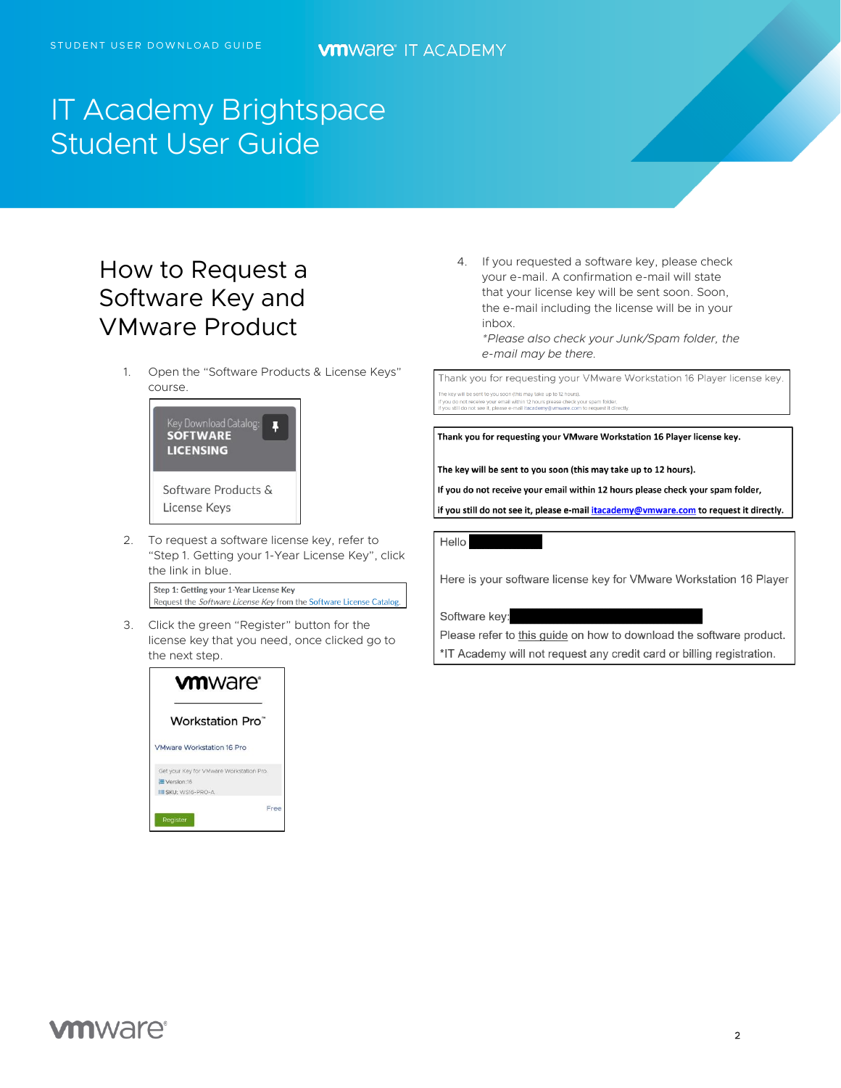# IT Academy Brightspace Student User Guide

## How to Request a Software Key and VMware Product

1. Open the "Software Products & License Keys" course.



2. To request a software license key, refer to "Step 1. Getting your 1-Year License Key", click the link in blue.

Step 1: Getting your 1-Year License Key Request the Software License Key from the Software License Catalog.

3. Click the green "Register" button for the license key that you need, once clicked go to the next step.



4. If you requested a software key, please check your e-mail. A confirmation e-mail will state that your license key will be sent soon. Soon, the e-mail including the license will be in your inbox.

*\*Please also check your Junk/Spam folder, the e-mail may be there.*

Thank you for requesting your VMware Workstation 16 Player license key.

he key will be sent to you soon (this may take up to 12 hours). do not receive your email within 12 hour<br>still do not see it, please e-mail itacader please check your spam folder,<br>y@vmware.com to request it directl

Thank you for requesting your VMware Workstation 16 Player license key.

The key will be sent to you soon (this may take up to 12 hours).

If you do not receive your email within 12 hours please check your spam folder,

if you still do not see it, please e-mail itacademy@vmware.com to request it directly.

Hello

Here is your software license key for VMware Workstation 16 Player

Software key:

Please refer to this guide on how to download the software product. \*IT Academy will not request any credit card or billing registration.

### **vm**ware<sup>®</sup>